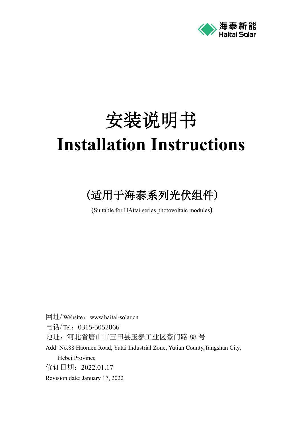

# 安装说明书 **Installation Instructions**

## (适用于海泰系列光伏组件)

(Suitable for HAitai series photovoltaic modules**)**

网址/ Website:www.haitai-solar.cn 电话/ Tel: 0315-5052066 地址:河北省唐山市玉田县玉泰工业区豪门路 88 号 Add: No.88 Haomen Road, Yutai Industrial Zone, Yutian County,Tangshan City, Hebei Province 修订日期:2022.01.17 Revision date: [January](javascript:;) 17, 2022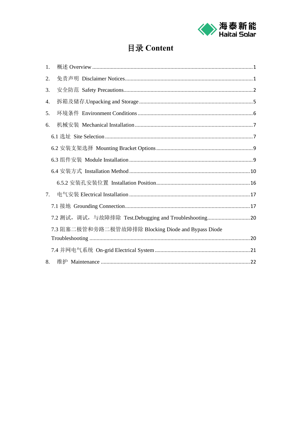

## 目录 Content

| 1. |                                                         |  |
|----|---------------------------------------------------------|--|
| 2. |                                                         |  |
| 3. |                                                         |  |
| 4. |                                                         |  |
| 5. |                                                         |  |
| 6. |                                                         |  |
|    |                                                         |  |
|    |                                                         |  |
|    |                                                         |  |
|    |                                                         |  |
|    |                                                         |  |
| 7. |                                                         |  |
|    |                                                         |  |
|    | 7.2 测试, 调试, 与故障排除 Test.Debugging and Troubleshooting 20 |  |
|    | 7.3 阻塞二极管和旁路二极管故障排除 Blocking Diode and Bypass Diode     |  |
|    |                                                         |  |
|    |                                                         |  |
| 8. |                                                         |  |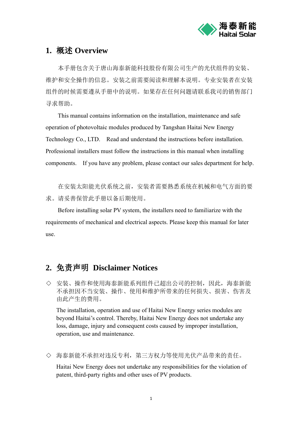

## <span id="page-2-0"></span>**1.** 概述 **Overview**

本手册包含关于唐山海泰新能科技股份有限公司生产的光伏组件的安装、 维护和安全操作的信息。安装之前需要阅读和理解本说明。专业安装者在安装 组件的时候需要遵从手册中的说明。如果存在任何问题请联系我司的销售部门 寻求帮助。

This manual contains information on the installation, maintenance and safe operation of photovoltaic modules produced by Tangshan Haitai New Energy Technology Co., LTD. Read and understand the instructions before installation. Professional installers must follow the instructions in this manual when installing components. If you have any problem, please contact our sales department for help.

在安装太阳能光伏系统之前,安装者需要熟悉系统在机械和电气方面的要 求。请妥善保管此手册以备后期使用。

Before installing solar PV system, the installers need to familiarize with the requirements of mechanical and electrical aspects. Please keep this manual for later use.

## <span id="page-2-1"></span>**2.** 免责声明 **Disclaimer Notices**

◇ 安装、操作和使用海泰新能系列组件已超出公司的控制,因此,海泰新能 不承担因不当安装、操作、使用和维护所带来的任何损失、损害、伤害及 由此产生的费用。

The installation, operation and use of Haitai New Energy series modules are beyond Haitai's control. Thereby, Haitai New Energy does not undertake any loss, damage, injury and consequent costs caused by improper installation, operation, use and maintenance.

◇ 海泰新能不承担对违反专利,第三方权力等使用光伏产品带来的责任。

Haitai New Energy does not undertake any responsibilities for the violation of patent, third-party rights and other uses of PV products.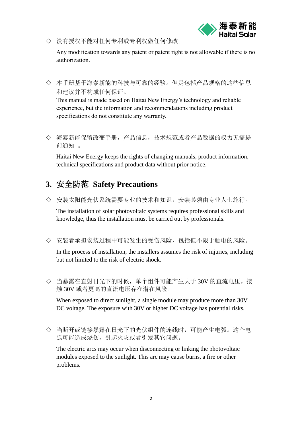

◇ 没有授权不能对任何专利或专利权做任何修改。

Any modification towards any patent or patent right is not allowable if there is no authorization.

◇ 本手册基于海泰新能的科技与可靠的经验。但是包括产品规格的这些信息 和建议并不构成任何保证。

This manual is made based on Haitai New Energy's technology and reliable experience, but the information and recommendations including product specifications do not constitute any warranty.

◇ 海泰新能保留改变手册,产品信息,技术规范或者产品数据的权力无需提 前通知 。

Haitai New Energy keeps the rights of changing manuals, product information, technical specifications and product data without prior notice.

## <span id="page-3-0"></span>**3.** 安全防范 **Safety Precautions**

◇ 安装太阳能光伏系统需要专业的技术和知识,安装必须由专业人士施行。

The installation of solar photovoltaic systems requires professional skills and knowledge, thus the installation must be carried out by professionals.

◇ 安装者承担安装过程中可能发生的受伤风险,包括但不限于触电的风险。

In the process of installation, the installers assumes the risk of injuries, including but not limited to the risk of electric shock.

◇ 当暴露在直射日光下的时候,单个组件可能产生大于 30V 的直流电压。接 触 30V 或者更高的直流电压存在潜在风险。

When exposed to direct sunlight, a single module may produce more than 30V DC voltage. The exposure with 30V or higher DC voltage has potential risks.

◇ 当断开或链接暴露在日光下的光伏组件的连线时,可能产生电弧。这个电 弧可能造成烧伤,引起火灾或者引发其它问题。

The electric arcs may occur when disconnecting or linking the photovoltaic modules exposed to the sunlight. This arc may cause burns, a fire or other problems.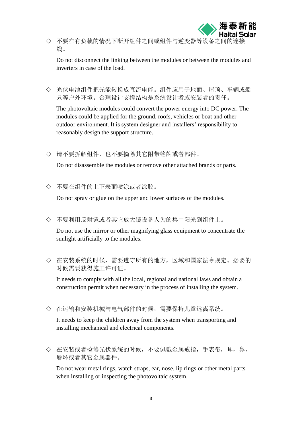

◇ 不要在有负载的情况下断开组件之间或组件与逆变器等设备之间的 线。

Do not disconnect the linking between the modules or between the modules and inverters in case of the load.

◇ 光伏电池组件把光能转换成直流电能。组件应用于地面、屋顶、车辆或船 只等户外环境。合理设计支撑结构是系统设计者或安装者的责任。

The photovoltaic modules could convert the power energy into DC power. The modules could be applied for the ground, roofs, vehicles or boat and other outdoor environment. It is system designer and installers' responsibility to reasonably design the support structure.

◇ 请不要拆解组件,也不要摘除其它附带铭牌或者部件。

Do not disassemble the modules or remove other attached brands or parts.

◇ 不要在组件的上下表面喷涂或者涂胶。

Do not spray or glue on the upper and lower surfaces of the modules.

◇ 不要利用反射镜或者其它放大镜设备人为的集中阳光到组件上。

Do not use the mirror or other magnifying glass equipment to concentrate the sunlight artificially to the modules.

◇ 在安装系统的时候,需要遵守所有的地方,区域和国家法令规定。必要的 时候需要获得施工许可证。

It needs to comply with all the local, regional and national laws and obtain a construction permit when necessary in the process of installing the system.

◇ 在运输和安装机械与电气部件的时候,需要保持儿童远离系统。

It needs to keep the children away from the system when transporting and installing mechanical and electrical components.

◇ 在安装或者检修光伏系统的时候,不要佩戴金属戒指,手表带,耳,鼻, 唇环或者其它金属器件。

Do not wear metal rings, watch straps, ear, nose, lip rings or other metal parts when installing or inspecting the photovoltaic system.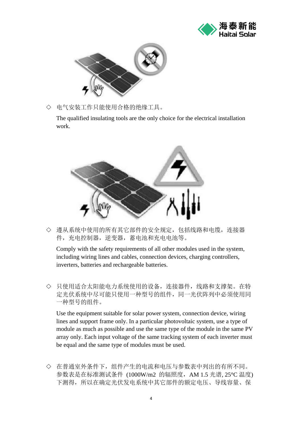



◇ 电气安装工作只能使用合格的绝缘工具。

The qualified insulating tools are the only choice for the electrical installation work.



◇ 遵从系统中使用的所有其它部件的安全规定,包括线路和电缆,连接器 件,充电控制器,逆变器,蓄电池和充电电池等。

Comply with the safety requirements of all other modules used in the system, including wiring lines and cables, connection devices, charging controllers, inverters, batteries and rechargeable batteries.

◇ 只使用适合太阳能电力系统使用的设备,连接器件,线路和支撑架。在特 定光伏系统中尽可能只使用一种型号的组件,同一光伏阵列中必须使用同 一种型号的组件。

Use the equipment suitable for solar power system, connection device, wiring lines and support frame only. In a particular photovoltaic system, use a type of module as much as possible and use the same type of the module in the same PV array only. Each input voltage of the same tracking system of each inverter must be equal and the same type of modules must be used.

◇ 在普通室外条件下,组件产生的电流和电压与参数表中列出的有所不同。 参数表是在标准测试条件 (1000W/m2 的辐照度,AM 1.5 光谱, 25°C 温度) 下测得,所以在确定光伏发电系统中其它部件的额定电压、导线容量、保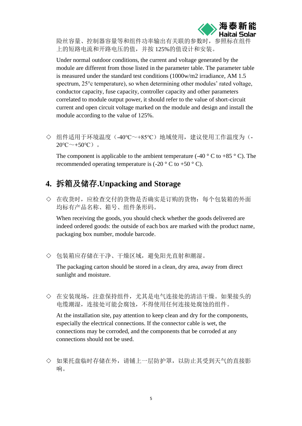

险丝容量、控制器容量等和组件功率输出有关联的参数时,参照标在组 上的短路电流和开路电压的值,并按 125%的值设计和安装。

Under normal outdoor conditions, the current and voltage generated by the module are different from those listed in the parameter table. The parameter table is measured under the standard test conditions (1000w/m2 irradiance, AM 1.5 spectrum, 25°c temperature), so when determining other modules' rated voltage, conductor capacity, fuse capacity, controller capacity and other parameters correlated to module output power, it should refer to the value of short-circuit current and open circuit voltage marked on the module and design and install the module according to the value of 125%.

◇ 组件适用于环境温度(-40℃~+85℃)地域使用,建议使用工作温度为(-  $20^{\circ}C^{-}+50^{\circ}C$ ).

The component is applicable to the ambient temperature (-40  $\degree$  C to +85  $\degree$  C). The recommended operating temperature is  $(-20 \degree C \text{ to } +50 \degree C)$ .

## <span id="page-6-0"></span>**4.** 拆箱及储存**.Unpacking and Storage**

◇ 在收货时,应检查交付的货物是否确实是订购的货物:每个包装箱的外面 均标有产品名称、箱号、组件条形码。

When receiving the goods, you should check whether the goods delivered are indeed ordered goods: the outside of each box are marked with the product name, packaging box number, module barcode.

◇ 包装箱应存储在干净、干燥区域,避免阳光直射和潮湿。

The packaging carton should be stored in a clean, dry area, away from direct sunlight and moisture.

◇ 在安装现场,注意保持组件,尤其是电气连接处的清洁干燥。如果接头的 电缆潮湿,连接处可能会腐蚀,不得使用任何连接处腐蚀的组件。

At the installation site, pay attention to keep clean and dry for the components, especially the electrical connections. If the connector cable is wet, the connections may be corroded, and the components that be corroded at any connections should not be used.

◇ 如果托盘临时存储在外,请铺上一层防护罩,以防止其受到天气的直接影 响。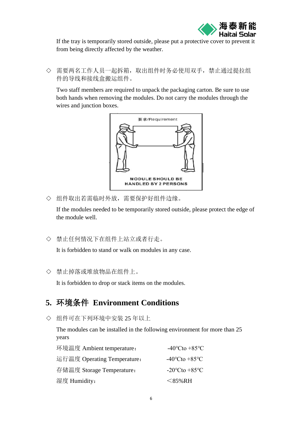

If the tray is temporarily stored outside, please put a protective cover to prevent it from being directly affected by the weather.

◇ 需要两名工作人员一起拆箱,取出组件时务必使用双手,禁止通过提拉组 件的导线和接线盒搬运组件。

Two staff members are required to unpack the packaging carton. Be sure to use both hands when removing the modules. Do not carry the modules through the wires and junction boxes.



◇ 组件取出若需临时外放,需要保护好组件边缘。

If the modules needed to be temporarily stored outside, please protect the edge of the module well.

◇ 禁止任何情况下在组件上站立或者行走。

It is forbidden to stand or walk on modules in any case.

◇ 禁止掉落或堆放物品在组件上。

It is forbidden to drop or stack items on the modules.

## <span id="page-7-0"></span>**5.** 环境条件 **Environment Conditions**

◇ 组件可在下列环境中安装 25 年以上

The modules can be installed in the following environment for more than 25 years

| 环境温度 Ambient temperature:   | $-40^{\circ}$ Cto +85 $^{\circ}$ C |
|-----------------------------|------------------------------------|
| 运行温度 Operating Temperature: | $-40^{\circ}$ Cto $+85^{\circ}$ C  |
| 存储温度 Storage Temperature:   | $-20^{\circ}$ Cto $+85^{\circ}$ C  |
| 湿度 Humidity:                | $<$ 85% RH                         |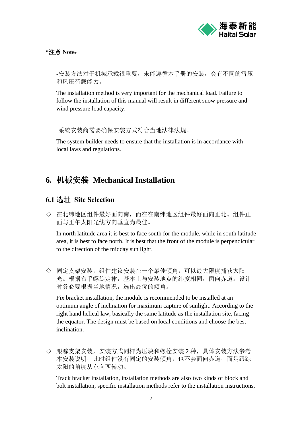

#### **\***注意 **Note**:

-安装方法对于机械承载很重要,未能遵循本手册的安装,会有不同的雪压 和风压荷载能力。

The installation method is very important for the mechanical load. Failure to follow the installation of this manual will result in different snow pressure and wind pressure load capacity.

-系统安装商需要确保安装方式符合当地法律法规。

The system builder needs to ensure that the installation is in accordance with local laws and regulations.

## <span id="page-8-0"></span>**6.** 机械安装 **Mechanical Installation**

## <span id="page-8-1"></span>**6.1** 选址 **Site Selection**

◇ 在北纬地区组件最好面向南,而在在南纬地区组件最好面向正北。组件正 面与正午太阳光线方向垂直为最佳。

In north latitude area it is best to face south for the module, while in south latitude area, it is best to face north. It is best that the front of the module is perpendicular to the direction of the midday sun light.

◇ 固定支架安装,组件建议安装在一个最佳倾角,可以最大限度捕获太阳 光。根据右手螺旋定律,基本上与安装地点的纬度相同,面向赤道。设计 时务必要根据当地情况,选出最优的倾角。

Fix bracket installation, the module is recommended to be installed at an optimum angle of inclination for maximum capture of sunlight. According to the right hand helical law, basically the same latitude as the installation site, facing the equator. The design must be based on local conditions and choose the best inclination.

◇ 跟踪支架安装,安装方式同样为压块和螺栓安装 2 种,具体安装方法参考 本安装说明,此时组件没有固定的安装倾角,也不会面向赤道,而是跟踪 太阳的角度从东向西转动。

Track bracket installation, installation methods are also two kinds of block and bolt installation, specific installation methods refer to the installation instructions,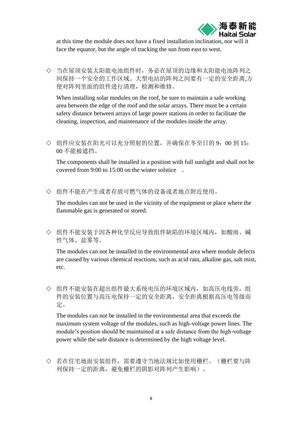

at this time the module does not have a fixed installation inclination, nor will face the equator, but the angle of tracking the sun from east to west.

◇ 当在屋顶安装太阳能电池组件时,务必在屋顶的边缘和太阳能电池阵列之 间保持一个安全的工作区域。大型电站的阵列之间要有一定的安全距离,方 便对阵列里面的组件进行清理,检测和维修。

When installing solar modules on the roof, be sure to maintain a safe working area between the edge of the roof and the solar arrays. There must be a certain safety distance between arrays of large power stations in order to facilitate the cleaning, inspection, and maintenance of the modules inside the array.

◇ 组件应安装在阳光可以充分照射的位置,并确保在冬至日的 9:00 到 15: 00 不能被遮挡。

The components shall be installed in a position with full sunlight and shall not be covered from 9:00 to 15:00 on the winter solstice .

◇ 组件不能在产生或者存放可燃气体的设备或者地点附近使用。

The modules can not be used in the vicinity of the equipment or place where the flammable gas is generated or stored.

◇ 组件不能安装于因各种化学反应导致组件缺陷的环境区域内,如酸雨、碱 性气体、盐雾等。

The modules can not be installed in the environmental area where module defects are caused by various chemical reactions, such as acid rain, alkaline gas, salt mist, etc.

◇ 组件不能安装在超出组件最大系统电压的环境区域内,如高压电线旁,组 件的安装位置与高压电保持一定的安全距离,安全距离根据高压电等级而 定。

The modules can not be installed in the environmental area that exceeds the maximum system voltage of the modules, such as high-voltage power lines. The module's position should be maintained at a safe distance from the high-voltage power while the safe distance is determined by the high voltage level.

◇ 若在住宅地面安装组件,需要遵守当地法规比如使用栅栏。(栅栏要与阵 列保持一定的距离,避免栅栏的阴影对阵列产生影响)。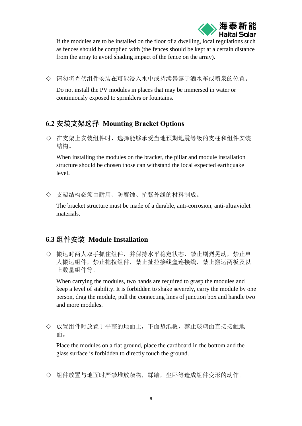

If the modules are to be installed on the floor of a dwelling, local regulations such as fences should be complied with (the fences should be kept at a certain distance from the array to avoid shading impact of the fence on the array).

◇ 请勿将光伏组件安装在可能浸入水中或持续暴露于洒水车或喷泉的位置。

Do not install the PV modules in places that may be immersed in water or continuously exposed to sprinklers or fountains.

## <span id="page-10-0"></span>**6.2** 安装支架选择 **Mounting Bracket Options**

◇ 在支架上安装组件时,选择能够承受当地预期地震等级的支柱和组件安装 结构。

When installing the modules on the bracket, the pillar and module installation structure should be chosen those can withstand the local expected earthquake level.

◇ 支架结构必须由耐用、防腐蚀、抗紫外线的材料制成。

The bracket structure must be made of a durable, anti-corrosion, anti-ultraviolet materials.

## <span id="page-10-1"></span>**6.3** 组件安装 **Module Installation**

◇ 搬运时两人双手抓住组件,并保持水平稳定状态,禁止剧烈晃动,禁止单 人搬运组件,禁止拖拉组件,禁止扯拉接线盒连接线,禁止搬运两板及以 上数量组件等。

When carrying the modules, two hands are required to grasp the modules and keep a level of stability. It is forbidden to shake severely, carry the module by one person, drag the module, pull the connecting lines of junction box and handle two and more modules.

◇ 放置组件时放置于平整的地面上,下面垫纸板,禁止玻璃面直接接触地 面。

Place the modules on a flat ground, place the cardboard in the bottom and the glass surface is forbidden to directly touch the ground.

◇ 组件放置与地面时严禁堆放杂物,踩踏,坐卧等造成组件变形的动作。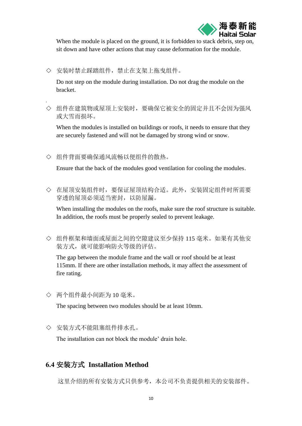

When the module is placed on the ground, it is forbidden to stack debris, step on, sit down and have other actions that may cause deformation for the module.

◇ 安装时禁止踩踏组件,禁止在支架上拖曳组件。

Do not step on the module during installation. Do not drag the module on the bracket.

◇ 组件在建筑物或屋顶上安装时,要确保它被安全的固定并且不会因为强风 或大雪而损坏。

When the modules is installed on buildings or roofs, it needs to ensure that they are securely fastened and will not be damaged by strong wind or snow.

◇ 组件背面要确保通风流畅以便组件的散热。

.

Ensure that the back of the modules good ventilation for cooling the modules.

◇ 在屋顶安装组件时,要保证屋顶结构合适。此外,安装固定组件时所需要 穿透的屋顶必须适当密封,以防屋漏。

When installing the modules on the roofs, make sure the roof structure is suitable. In addition, the roofs must be properly sealed to prevent leakage.

◇ 组件框架和墙面或屋面之间的空隙建议至少保持 115 毫米。如果有其他安 装方式,就可能影响防火等级的评估。

The gap between the module frame and the wall or roof should be at least 115mm. If there are other installation methods, it may affect the assessment of fire rating.

◇ 两个组件最小间距为 10 毫米。

The spacing between two modules should be at least 10mm.

◇ 安装方式不能阻塞组件排水孔。

The installation can not block the module' drain hole.

## <span id="page-11-0"></span>**6.4** 安装方式 **Installation Method**

这里介绍的所有安装方式只供参考,本公司不负责提供相关的安装部件。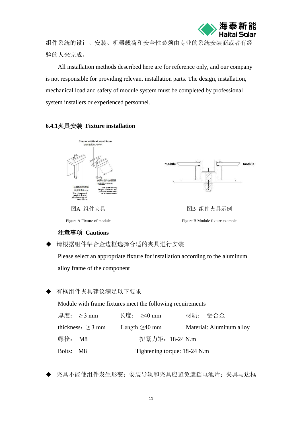

组件系统的设计、安装、机器载荷和安全性必须由专业的系统安装商或者有经 验的人来完成。

All installation methods described here are for reference only, and our company is not responsible for providing relevant installation parts. The design, installation, mechanical load and safety of module system must be completed by professional system installers or experienced personnel.

#### **6.4.1**夹具安装 **Fixture installation**





图A 组件夹具 网络罗马 医心包的 医心包 网络奥尔利 图A 组件夹具示例

#### Figure A Fixture of module Figure B Module fixture example

#### 注意事项 **Cautions**

请根据组件铝合金边框选择合适的夹具进行安装

Please select an appropriate fixture for installation according to the aluminum alloy frame of the component

有框组件夹具建议满足以下要求

Module with frame fixtures meet the following requirements

| 厚度: $>3 \text{ mm}$    |  | 长度: $>40 \text{ mm}$          | 材质: 铝合金 |                          |
|------------------------|--|-------------------------------|---------|--------------------------|
| thickness: $\geq$ 3 mm |  | Length $: \geq 40$ mm         |         | Material: Aluminum alloy |
| 螺栓: M8                 |  | 扭紧力矩: 18-24 N.m               |         |                          |
| Bolts: M8              |  | Tightening torque: 18-24 N.m. |         |                          |

◆ 夹具不能使组件发生形变;安装导轨和夹具应避免遮挡电池片;夹具与边框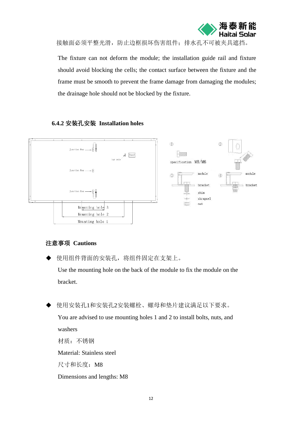

接触面必须平整光滑,防止边框损坏伤害组件;排水孔不可被夹具遮挡。

 The fixture can not deform the module; the installation guide rail and fixture should avoid blocking the cells; the contact surface between the fixture and the frame must be smooth to prevent the frame damage from damaging the modules; the drainage hole should not be blocked by the fixture.

#### **6.4.2** 安装孔安装 **Installation holes**



#### 注意事项 **Cautions**

◆ 使用组件背面的安装孔,将组件固定在支架上。

Use the mounting hole on the back of the module to fix the module on the bracket.

◆ 使用安装孔1和安装孔2安装螺栓、螺母和垫片建议满足以下要求。

You are advised to use mounting holes 1 and 2 to install bolts, nuts, and washers 材质:不锈钢

Material: Stainless steel

尺寸和长度:M8

Dimensions and lengths: M8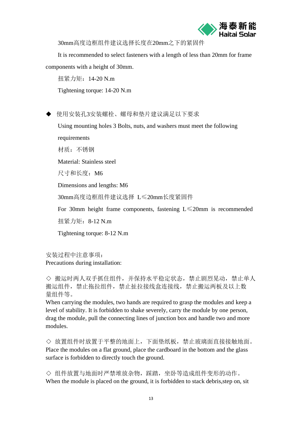

30mm高度边框组件建议选择长度在20mm之下的紧固件

It is recommended to select fasteners with a length of less than 20mm for frame components with a height of 30mm.

扭紧力矩:14-20 N.m Tightening torque: 14-20 N.m

◆ 使用安装孔3安装螺栓、螺母和垫片建议满足以下要求

Using mounting holes 3 Bolts, nuts, and washers must meet the following requirements

材质:不锈钢

Material: Stainless steel

尺寸和长度:M6

Dimensions and lengths: M6

30mm高度边框组件建议选择 L≤20mm长度紧固件

For 30mm height frame components, fastening L≤20mm is recommended

扭紧力矩:8-12 N.m

Tightening torque: 8-12 N.m

安装过程中注意事项: Precautions during installation:

◇ 搬运时两人双手抓住组件, 并保持水平稳定状态, 禁止剧烈晃动, 禁止单人 搬运组件,禁止拖拉组件,禁止扯拉接线盒连接线,禁止搬运两板及以上数 量组件等。

When carrying the modules, two hands are required to grasp the modules and keep a level of stability. It is forbidden to shake severely, carry the module by one person, drag the module, pull the connecting lines of junction box and handle two and more modules.

◇ 放置组件时放置于平整的地面上,下面垫纸板,禁止玻璃面直接接触地面。 Place the modules on a flat ground, place the cardboard in the bottom and the glass surface is forbidden to directly touch the ground.

◇ 组件放置与地面时严禁堆放杂物,踩踏,坐卧等造成组件变形的动作。 When the module is placed on the ground, it is forbidden to stack debris,step on, sit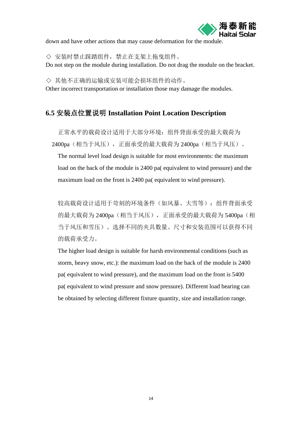

down and have other actions that may cause deformation for the module.

◇ 安装时禁止踩踏组件,禁止在支架上拖曳组件。 Do not step on the module during installation. Do not drag the module on the bracket.

◇ 其他不正确的运输或安装可能会损坏组件的动作。 Other incorrect transportation or installation those may damage the modules.

#### **6.5** 安装点位置说明 **Installation Point Location Description**

正常水平的载荷设计适用于大部分环境:组件背面承受的最大载荷为 2400pa(相当于风压),正面承受的最大载荷为 2400pa(相当于风压)。

The normal level load design is suitable for most environments: the maximum load on the back of the module is 2400 pa( equivalent to wind pressure) and the maximum load on the front is 2400 pa( equivalent to wind pressure).

较高载荷设计适用于苛刻的环境条件(如风暴、大雪等): 组件背面承受 的最大载荷为 2400pa (相当于风压), 正面承受的最大载荷为 5400pa (相 当于风压和雪压)。选择不同的夹具数量、尺寸和安装范围可以获得不同 的载荷承受力。

The higher load design is suitable for harsh environmental conditions (such as storm, heavy snow, etc.): the maximum load on the back of the module is 2400 pa( equivalent to wind pressure), and the maximum load on the front is 5400 pa( equivalent to wind pressure and snow pressure). Different load bearing can be obtained by selecting different fixture quantity, size and installation range.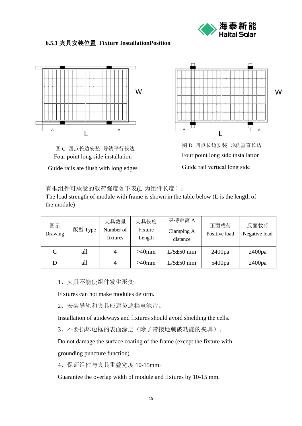

#### **6.5.1** 夹具安装位置 **Fixture InstallationPosition**



图 C 四点长边安装 导轨平行长边 Four point long side installation

Guide rails are flush with long edges



图 D 四点长边安装 导轨垂直长边 Four point long side installation Guide rail vertical long side

#### 有框组件可承受的载荷强度如下表(L 为组件长度):

The load strength of module with frame is shown in the table below (L is the length of the module)

| 图示<br>Drawing | 版型 Type | 夹具数量<br>Number of<br>fixtures | 夹具长度<br>Fixture<br>Length | 夹持距离 A<br>Clamping A<br>distance | 正面载荷<br>Positive load | 反面载荷<br>Negative load |
|---------------|---------|-------------------------------|---------------------------|----------------------------------|-----------------------|-----------------------|
| $\mathcal{C}$ | all     | 4                             | $\geq$ 40mm               | $L/5\pm50$ mm                    | 2400pa                | 2400pa                |
| D             | all     | 4                             | $\geq$ 40mm               | $L/5 \pm 50$ mm                  | 5400pa                | 2400pa                |

1、夹具不能使组件发生形变。

Fixtures can not make modules deform.

2、安装导轨和夹具应避免遮挡电池片。

Installation of guideways and fixtures should avoid shielding the cells.

3、不要损坏边框的表面涂层(除了带接地刺破功能的夹具)。

Do not damage the surface coating of the frame (except the fixture with

grounding puncture function).

4、保证组件与夹具重叠宽度 10-15mm。

Guarantee the overlap width of module and fixtures by 10-15 mm.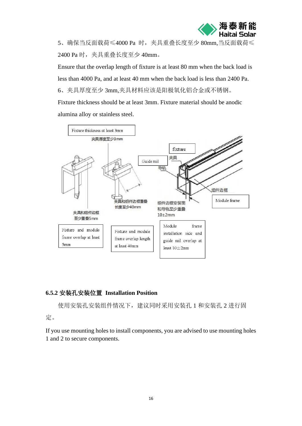

5、确保当反面载荷≤4000 Pa 时,夹具重叠长度至少 80mm,当反面载荷≤ 2400 Pa 时, 夹具重叠长度至少 40mm。

Ensure that the overlap length of fixture is at least 80 mm when the back load is less than 4000 Pa, and at least 40 mm when the back load is less than 2400 Pa. 6、夹具厚度至少 3mm,夹具材料应该是阳极氧化铝合金或不锈钢。

Fixture thickness should be at least 3mm. Fixture material should be anodic alumina alloy or stainless steel.



#### <span id="page-17-0"></span>**6.5.2** 安装孔安装位置 **Installation Position**

使用安装孔安装组件情况下,建议同时采用安装孔 1 和安装孔 2 进行固

定。

If you use mounting holes to install components, you are advised to use mounting holes 1 and 2 to secure components.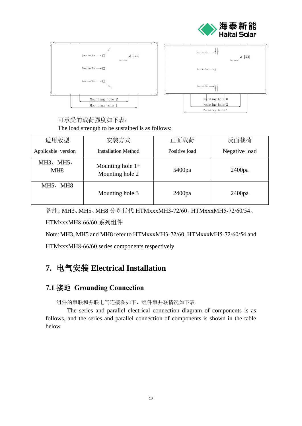



#### 可承受的载荷强度如下表: The load strength to be sustained is as follows:

| 适用版型                | 安装方式                                  | 正面载荷          | 反面载荷          |  |
|---------------------|---------------------------------------|---------------|---------------|--|
| Applicable version  | <b>Installation Method</b>            | Positive load | Negative load |  |
| $MH3$ , MH5,<br>MH8 | Mounting hole $1+$<br>Mounting hole 2 | 5400pa        | 2400pa        |  |
| $MH5$ , MH8         | Mounting hole 3                       | 2400pa        | 2400pa        |  |

备注:MH3、MH5、MH8 分别指代 HTMxxxMH3-72/60、HTMxxxMH5-72/60/54、

HTMxxxMH8-66/60 系列组件

Note: MH3, MH5 and MH8 refer to HTMxxxMH3-72/60, HTMxxxMH5-72/60/54 and

<span id="page-18-0"></span>HTMxxxMH8-66/60 series components respectively

## **7.** 电气安装 **Electrical Installation**

## <span id="page-18-1"></span>**7.1** 接地 **Grounding Connection**

组件的串联和并联电气连接图如下,组件串并联情况如下表

The series and parallel electrical connection diagram of components is as follows, and the series and parallel connection of components is shown in the table below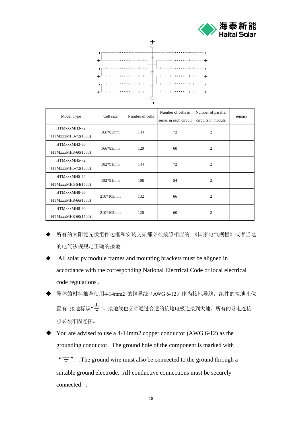



I.

| Model Type         | Cell size    | Number of cells | Number of cells in     | Number of parallel | remark |  |
|--------------------|--------------|-----------------|------------------------|--------------------|--------|--|
|                    |              |                 | series in each circuit | circuits in module |        |  |
| HTMxxxMH3-72       | $166*83mm$   | 144             | 72                     | $\overline{2}$     |        |  |
| HTMxxxMH3-72(1500) |              |                 |                        |                    |        |  |
| HTMxxxMH3-60       |              | 120             |                        |                    |        |  |
| HTMxxxMH3-60(1500) | $166*83mm$   |                 | 60                     | $\overline{c}$     |        |  |
| HTMxxxMH5-72       | $182*91mm$   | 144             | 72                     | $\overline{2}$     |        |  |
| HTMxxxMH5-72(1500) |              |                 |                        |                    |        |  |
| HTMxxxMH5-54       | $182*91mm$   | 108             | 54                     | $\overline{2}$     |        |  |
| HTMxxxMH5-54(1500) |              |                 |                        |                    |        |  |
| HTMxxxMH8-66       | $210*105$ mm | 132             | 66                     | $\overline{2}$     |        |  |
| HTMxxxMH8-66(1500) |              |                 |                        |                    |        |  |
| HTMxxxMH8-60       | $210*105$ mm | 120             | 60                     | $\overline{2}$     |        |  |
| HTMxxxMH8-60(1500) |              |                 |                        |                    |        |  |

- 所有的太阳能光伏组件边框和安装支架都必须按照相应的 《国家电气规程》或者当地 的电气法规规定正确的接地。
- All solar pv module frames and mounting brackets must be aligned in accordance with the corresponding National Electrical Code or local electrical code regulations .
- 导体的材料推荐使用4-14mm2 的铜导线(AWG 6-12)作为接地导线。组件的接地孔位 置有 接地标识"<mark>一</mark>"。接地线也必须通过合适的接地电极连接到大地。所有的导电连接 点必须牢固连接。
- You are advised to use a 4-14mm2 copper conductor (AWG 6-12) as the grounding conductor. The ground hole of the component is marked with " $\frac{1}{x}$ ". The ground wire must also be connected to the ground through a suitable ground electrode. All conductive connections must be securely connected .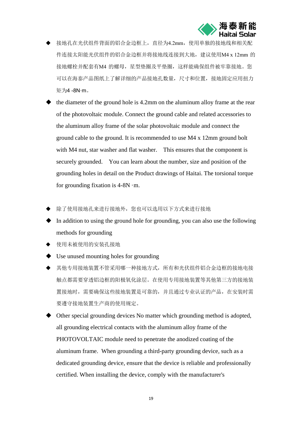

- 接地孔在光伏组件背面的铝合金边框上,直径为4.2mm,使用单独的接地线和相关配 件连接太阳能光伏组件的铝合金边框并将接地线连接到大地,建议使用M4 x 12mm 的 接地螺栓并配套有M4 的螺母,星型垫圈及平垫圈,这样能确保组件被牢靠接地。您 可以在海泰产品图纸上了解详细的产品接地孔数量,尺寸和位置,接地固定应用扭力 矩为4 -8N·m。
- ◆ the diameter of the ground hole is 4.2mm on the aluminum alloy frame at the rear of the photovoltaic module. Connect the ground cable and related accessories to the aluminum alloy frame of the solar photovoltaic module and connect the ground cable to the ground. It is recommended to use M4 x 12mm ground bolt with M4 nut, star washer and flat washer. This ensures that the component is securely grounded. You can learn about the number, size and position of the grounding holes in detail on the Product drawings of Haitai. The torsional torque for grounding fixation is  $4-8N \cdot m$ .
- ◆ 除了使用接地孔来进行接地外,您也可以选用以下方式来进行接地
- In addition to using the ground hole for grounding, you can also use the following methods for grounding
- ◆ 使用未被使用的安装孔接地
- ◆ Use unused mounting holes for grounding
- ◆ 其他专用接地装置不管采用哪一种接地方式,所有和光伏组件铝合金边框的接地电接 触点都需要穿透铝边框的阳极氧化涂层。在使用专用接地装置等其他第三方的接地装 置接地时,需要确保这些接地装置是可靠的,并且通过专业认证的产品,在安装时需 要遵守接地装置生产商的使用规定。
- ◆ Other special grounding devices No matter which grounding method is adopted, all grounding electrical contacts with the aluminum alloy frame of the PHOTOVOLTAIC module need to penetrate the anodized coating of the aluminum frame. When grounding a third-party grounding device, such as a dedicated grounding device, ensure that the device is reliable and professionally certified. When installing the device, comply with the manufacturer's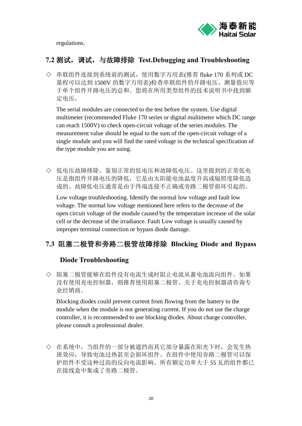

regulations.

#### <span id="page-21-0"></span>**7.2** 测试,调试,与故障排除 **[Test](http://cn.bing.com/dict/search?q=Test&FORM=BDVSP6&mkt=zh-cn)[.](http://cn.bing.com/dict/search?q=.&FORM=BDVSP6&mkt=zh-cn)[Debugging](http://cn.bing.com/dict/search?q=Debugging&FORM=BDVSP6&mkt=zh-cn) [and](http://cn.bing.com/dict/search?q=and&FORM=BDVSP6&mkt=zh-cn) [Troubleshooting](http://cn.bing.com/dict/search?q=troubleshooting&FORM=BDVSP6&mkt=zh-cn)**

◇ 串联组件连接到系统前的测试,使用数字万用表(推荐 fluke 170 系列或 DC 量程可以达到 1500V 的数字万用表)检查串联组件的开路电压。测量值应等 于单个组件开路电压的总和。您将在所用类型组件的技术说明书中找到额 定电压。

The serial modules are connected to the test before the system. Use digital multimeter (recommended Fluke 170 series or digital multimeter which DC range can reach 1500V) to check open-circuit voltage of the series modules. The measurement value should be equal to the sum of the open-circuit voltage of a single module and you will find the rated voltage in the technical specification of the type module you are using.

◇ 低电压故障排除。鉴别正常的低电压和故障低电压。这里提到的正常低电 压是指组件开路电压的降低,它是由太阳能电池温度升高或辐照度降低造 成的。故障低电压通常是由于终端连接不正确或旁路二极管损坏引起的。

Low voltage troubleshooting. Identify the normal low voltage and fault low voltage. The normal low voltage mentioned here refers to the decrease of the open circuit voltage of the module caused by the temperature increase of the solar cell or the decrease of the irradiance. Fault Low voltage is usually caused by improper terminal connection or bypass diode damage.

## <span id="page-21-1"></span>**7.3** 阻塞二极管和旁路二极管故障排除 **Blocking Diode and Bypass**

#### **Diode Troubleshooting**

◇ 阻塞二极管能够在组件没有电流生成时阻止电流从蓄电池流向组件。如果 没有使用充电控制器,则推荐使用阻塞二极管。关于充电控制器请咨询专 业经销商。

Blocking diodes could prevent current from flowing from the battery to the module when the module is not generating current. If you do not use the charge controller, it is recommended to use blocking diodes. About charge controller, please consult a professional dealer.

◇ 在系统中,当组件的一部分被遮挡而其它部分暴露在阳光下时,会发生热 斑效应,导致电池过热甚至会损坏组件。在组件中使用旁路二极管可以保 护组件不受这种过高的反向电流影响。所有额定功率大于 55 瓦的组件都已 在接线盒中集成了旁路二极管。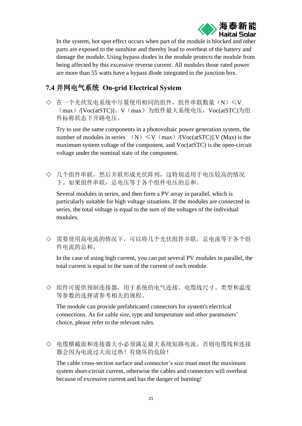

In the system, hot spot effect occurs when part of the module is blocked and other parts are exposed to the sunshine and thereby lead to overheat of the battery and damage the module. Using bypass diodes in the module protects the module from being affected by this excessive reverse current. All modules those rated power are more than 55 watts have a bypass diode integrated in the junction box.

## <span id="page-22-0"></span>**7.4** 并网电气系统 **On-grid Electrical System**

◇ 在一个光伏发电系统中尽量使用相同的组件,组件串联数量(N)≤V (max) /[Voc(atSTC)]。V(max) 为组件最大系统电压, Voc(atSTC)为组 件标称状态下开路电压。

Try to use the same components in a photovoltaic power generation system, the number of modules in series  $(N) \leq V(max) / [Voc(atSTC)]$ . V (Max) is the maximum system voltage of the component, and Voc(atSTC) is the open-circuit voltage under the nominal state of the component.

◇ 几个组件串联,然后并联形成光伏阵列,这特别适用于电压较高的情况 下。如果组件串联,总电压等于各个组件电压的总和。

Several modules in series, and then form a PV array in parallel, which is particularly suitable for high voltage situations. If the modules are connected in series, the total voltage is equal to the sum of the voltages of the individual modules.

◇ 需要使用高电流的情况下,可以将几个光伏组件并联,总电流等于各个组 件电流的总和。

In the case of using high current, you can put several PV modules in parallel, the total current is equal to the sum of the current of each module.

◇ 组件可提供预制连接器,用于系统的电气连接。电缆线尺寸、类型和温度 等参数的选择请参考相关的规程。

The module can provide prefabricated connectors for system's electrical connections. As for cable size, type and temperature and other parameters' choice, please refer to the relevant rules.

◇ 电缆横截面和连接器大小必须满足最大系统短路电流。否则电缆线和连接 器会因为电流过大而过热!有烧坏的危险!

The cable cross-section surface and connector's size must meet the maximum system short-circuit current, otherwise the cables and connectors will overheat because of excessive current and has the danger of burning!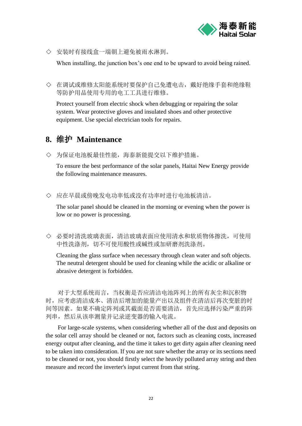

◇ 安装时有接线盒一端朝上避免被雨水淋到。

When installing, the junction box's one end to be upward to avoid being rained.

◇ 在调试或维修太阳能系统时要保护自己免遭电击,戴好绝缘手套和绝缘鞋 等防护用品使用专用的电工工具进行维修。

Protect yourself from electric shock when debugging or repairing the solar system. Wear protective gloves and insulated shoes and other protective equipment. Use special electrician tools for repairs.

## <span id="page-23-0"></span>**8.** 维护 **Maintenance**

◇ 为保证电池板最佳性能,海泰新能提交以下维护措施。

To ensure the best performance of the solar panels, Haitai New Energy provide the following maintenance measures.

◇ 应在早晨或傍晚发电功率低或没有功率时进行电池板清洁。

The solar panel should be cleaned in the morning or evening when the power is low or no power is processing.

◇ 必要时清洗玻璃表面,清洁玻璃表面应使用清水和软质物体擦洗,可使用 中性洗涤剂,切不可使用酸性或碱性或加研磨剂洗涤剂。

Cleaning the glass surface when necessary through clean water and soft objects. The neutral detergent should be used for cleaning while the acidic or alkaline or abrasive detergent is forbidden.

对于大型系统而言,当权衡是否应清洁电池阵列上的所有灰尘和沉积物 时,应考虑清洁成本、清洁后增加的能量产出以及组件在清洁后再次变脏的时 间等因素。如果不确定阵列或其截面是否需要清洁,首先应选择污染严重的阵 列串,然后从该串测量并记录逆变器的输入电流。

For large-scale systems, when considering whether all of the dust and deposits on the solar cell array should be cleaned or not, factors such as cleaning costs, increased energy output after cleaning, and the time it takes to get dirty again after cleaning need to be taken into consideration. If you are not sure whether the array or its sections need to be cleaned or not, you should firstly select the heavily polluted array string and then measure and record the inverter's input current from that string.